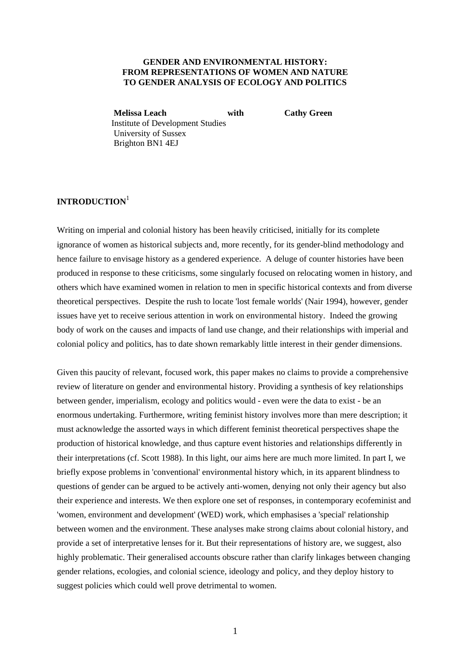# **GENDER AND ENVIRONMENTAL HISTORY: FROM REPRESENTATIONS OF WOMEN AND NATURE TO GENDER ANALYSIS OF ECOLOGY AND POLITICS**

**Melissa Leach** with Cathy Green Institute of Development Studies University of Sussex Brighton BN1 4EJ

# **INTRODUCTION**<sup>1</sup>

Writing on imperial and colonial history has been heavily criticised, initially for its complete ignorance of women as historical subjects and, more recently, for its gender-blind methodology and hence failure to envisage history as a gendered experience. A deluge of counter histories have been produced in response to these criticisms, some singularly focused on relocating women in history, and others which have examined women in relation to men in specific historical contexts and from diverse theoretical perspectives. Despite the rush to locate 'lost female worlds' (Nair 1994), however, gender issues have yet to receive serious attention in work on environmental history. Indeed the growing body of work on the causes and impacts of land use change, and their relationships with imperial and colonial policy and politics, has to date shown remarkably little interest in their gender dimensions.

Given this paucity of relevant, focused work, this paper makes no claims to provide a comprehensive review of literature on gender and environmental history. Providing a synthesis of key relationships between gender, imperialism, ecology and politics would - even were the data to exist - be an enormous undertaking. Furthermore, writing feminist history involves more than mere description; it must acknowledge the assorted ways in which different feminist theoretical perspectives shape the production of historical knowledge, and thus capture event histories and relationships differently in their interpretations (cf. Scott 1988). In this light, our aims here are much more limited. In part I, we briefly expose problems in 'conventional' environmental history which, in its apparent blindness to questions of gender can be argued to be actively anti-women, denying not only their agency but also their experience and interests. We then explore one set of responses, in contemporary ecofeminist and 'women, environment and development' (WED) work, which emphasises a 'special' relationship between women and the environment. These analyses make strong claims about colonial history, and provide a set of interpretative lenses for it. But their representations of history are, we suggest, also highly problematic. Their generalised accounts obscure rather than clarify linkages between changing gender relations, ecologies, and colonial science, ideology and policy, and they deploy history to suggest policies which could well prove detrimental to women.

1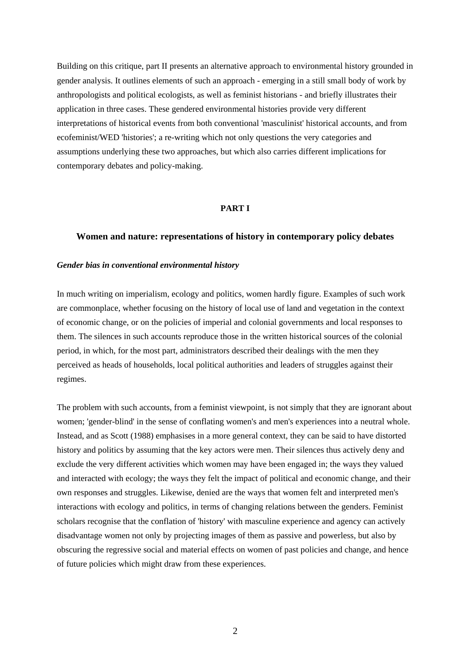Building on this critique, part II presents an alternative approach to environmental history grounded in gender analysis. It outlines elements of such an approach - emerging in a still small body of work by anthropologists and political ecologists, as well as feminist historians - and briefly illustrates their application in three cases. These gendered environmental histories provide very different interpretations of historical events from both conventional 'masculinist' historical accounts, and from ecofeminist/WED 'histories'; a re-writing which not only questions the very categories and assumptions underlying these two approaches, but which also carries different implications for contemporary debates and policy-making.

## **PART I**

## **Women and nature: representations of history in contemporary policy debates**

## *Gender bias in conventional environmental history*

In much writing on imperialism, ecology and politics, women hardly figure. Examples of such work are commonplace, whether focusing on the history of local use of land and vegetation in the context of economic change, or on the policies of imperial and colonial governments and local responses to them. The silences in such accounts reproduce those in the written historical sources of the colonial period, in which, for the most part, administrators described their dealings with the men they perceived as heads of households, local political authorities and leaders of struggles against their regimes.

The problem with such accounts, from a feminist viewpoint, is not simply that they are ignorant about women; 'gender-blind' in the sense of conflating women's and men's experiences into a neutral whole. Instead, and as Scott (1988) emphasises in a more general context, they can be said to have distorted history and politics by assuming that the key actors were men. Their silences thus actively deny and exclude the very different activities which women may have been engaged in; the ways they valued and interacted with ecology; the ways they felt the impact of political and economic change, and their own responses and struggles. Likewise, denied are the ways that women felt and interpreted men's interactions with ecology and politics, in terms of changing relations between the genders. Feminist scholars recognise that the conflation of 'history' with masculine experience and agency can actively disadvantage women not only by projecting images of them as passive and powerless, but also by obscuring the regressive social and material effects on women of past policies and change, and hence of future policies which might draw from these experiences.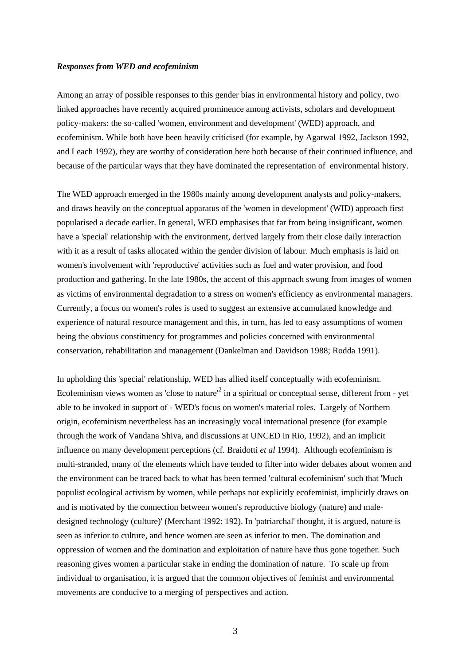## *Responses from WED and ecofeminism*

Among an array of possible responses to this gender bias in environmental history and policy, two linked approaches have recently acquired prominence among activists, scholars and development policy-makers: the so-called 'women, environment and development' (WED) approach, and ecofeminism. While both have been heavily criticised (for example, by Agarwal 1992, Jackson 1992, and Leach 1992), they are worthy of consideration here both because of their continued influence, and because of the particular ways that they have dominated the representation of environmental history.

The WED approach emerged in the 1980s mainly among development analysts and policy-makers, and draws heavily on the conceptual apparatus of the 'women in development' (WID) approach first popularised a decade earlier. In general, WED emphasises that far from being insignificant, women have a 'special' relationship with the environment, derived largely from their close daily interaction with it as a result of tasks allocated within the gender division of labour. Much emphasis is laid on women's involvement with 'reproductive' activities such as fuel and water provision, and food production and gathering. In the late 1980s, the accent of this approach swung from images of women as victims of environmental degradation to a stress on women's efficiency as environmental managers. Currently, a focus on women's roles is used to suggest an extensive accumulated knowledge and experience of natural resource management and this, in turn, has led to easy assumptions of women being the obvious constituency for programmes and policies concerned with environmental conservation, rehabilitation and management (Dankelman and Davidson 1988; Rodda 1991).

In upholding this 'special' relationship, WED has allied itself conceptually with ecofeminism. Ecofeminism views women as 'close to nature<sup> $2$ </sup> in a spiritual or conceptual sense, different from  $-$  yet able to be invoked in support of - WED's focus on women's material roles. Largely of Northern origin, ecofeminism nevertheless has an increasingly vocal international presence (for example through the work of Vandana Shiva, and discussions at UNCED in Rio, 1992), and an implicit influence on many development perceptions (cf. Braidotti *et al* 1994). Although ecofeminism is multi-stranded, many of the elements which have tended to filter into wider debates about women and the environment can be traced back to what has been termed 'cultural ecofeminism' such that 'Much populist ecological activism by women, while perhaps not explicitly ecofeminist, implicitly draws on and is motivated by the connection between women's reproductive biology (nature) and maledesigned technology (culture)' (Merchant 1992: 192). In 'patriarchal' thought, it is argued, nature is seen as inferior to culture, and hence women are seen as inferior to men. The domination and oppression of women and the domination and exploitation of nature have thus gone together. Such reasoning gives women a particular stake in ending the domination of nature. To scale up from individual to organisation, it is argued that the common objectives of feminist and environmental movements are conducive to a merging of perspectives and action.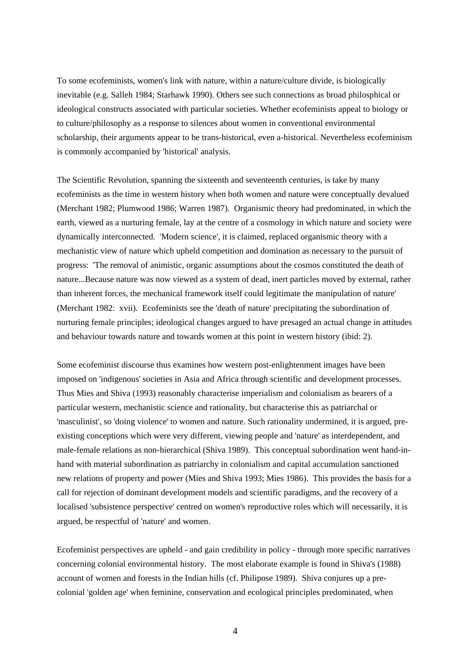To some ecofeminists, women's link with nature, within a nature/culture divide, is biologically inevitable (e.g. Salleh 1984; Starhawk 1990). Others see such connections as broad philosphical or ideological constructs associated with particular societies. Whether ecofeminists appeal to biology or to culture/philosophy as a response to silences about women in conventional environmental scholarship, their arguments appear to be trans-historical, even a-historical. Nevertheless ecofeminism is commonly accompanied by 'historical' analysis.

The Scientific Revolution, spanning the sixteenth and seventeenth centuries, is take by many ecofeminists as the time in western history when both women and nature were conceptually devalued (Merchant 1982; Plumwood 1986; Warren 1987). Organismic theory had predominated, in which the earth, viewed as a nurturing female, lay at the centre of a cosmology in which nature and society were dynamically interconnected. 'Modern science', it is claimed, replaced organismic theory with a mechanistic view of nature which upheld competition and domination as necessary to the pursuit of progress: 'The removal of animistic, organic assumptions about the cosmos constituted the death of nature...Because nature was now viewed as a system of dead, inert particles moved by external, rather than inherent forces, the mechanical framework itself could legitimate the manipulation of nature' (Merchant 1982: xvii). Ecofeminists see the 'death of nature' precipitating the subordination of nurturing female principles; ideological changes argued to have presaged an actual change in attitudes and behaviour towards nature and towards women at this point in western history (ibid: 2).

Some ecofeminist discourse thus examines how western post-enlightenment images have been imposed on 'indigenous' societies in Asia and Africa through scientific and development processes. Thus Mies and Shiva (1993) reasonably characterise imperialism and colonialism as bearers of a particular western, mechanistic science and rationality, but characterise this as patriarchal or 'masculinist', so 'doing violence' to women and nature. Such rationality undermined, it is argued, preexisting conceptions which were very different, viewing people and 'nature' as interdependent, and male-female relations as non-hierarchical (Shiva 1989). This conceptual subordination went hand-inhand with material subordination as patriarchy in colonialism and capital accumulation sanctioned new relations of property and power (Mies and Shiva 1993; Mies 1986). This provides the basis for a call for rejection of dominant development models and scientific paradigms, and the recovery of a localised 'subsistence perspective' centred on women's reproductive roles which will necessarily, it is argued, be respectful of 'nature' and women.

Ecofeminist perspectives are upheld - and gain credibility in policy - through more specific narratives concerning colonial environmental history. The most elaborate example is found in Shiva's (1988) account of women and forests in the Indian hills (cf. Philipose 1989). Shiva conjures up a precolonial 'golden age' when feminine, conservation and ecological principles predominated, when

4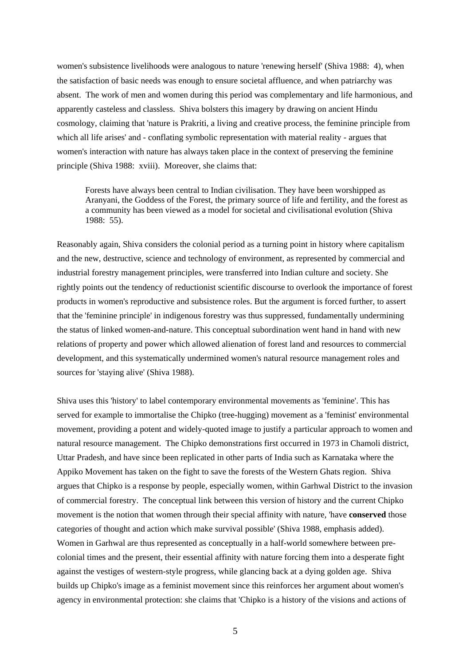women's subsistence livelihoods were analogous to nature 'renewing herself' (Shiva 1988: 4), when the satisfaction of basic needs was enough to ensure societal affluence, and when patriarchy was absent. The work of men and women during this period was complementary and life harmonious, and apparently casteless and classless. Shiva bolsters this imagery by drawing on ancient Hindu cosmology, claiming that 'nature is Prakriti, a living and creative process, the feminine principle from which all life arises' and - conflating symbolic representation with material reality - argues that women's interaction with nature has always taken place in the context of preserving the feminine principle (Shiva 1988: xviii). Moreover, she claims that:

Forests have always been central to Indian civilisation. They have been worshipped as Aranyani, the Goddess of the Forest, the primary source of life and fertility, and the forest as a community has been viewed as a model for societal and civilisational evolution (Shiva 1988: 55).

Reasonably again, Shiva considers the colonial period as a turning point in history where capitalism and the new, destructive, science and technology of environment, as represented by commercial and industrial forestry management principles, were transferred into Indian culture and society. She rightly points out the tendency of reductionist scientific discourse to overlook the importance of forest products in women's reproductive and subsistence roles. But the argument is forced further, to assert that the 'feminine principle' in indigenous forestry was thus suppressed, fundamentally undermining the status of linked women-and-nature. This conceptual subordination went hand in hand with new relations of property and power which allowed alienation of forest land and resources to commercial development, and this systematically undermined women's natural resource management roles and sources for 'staying alive' (Shiva 1988).

Shiva uses this 'history' to label contemporary environmental movements as 'feminine'. This has served for example to immortalise the Chipko (tree-hugging) movement as a 'feminist' environmental movement, providing a potent and widely-quoted image to justify a particular approach to women and natural resource management. The Chipko demonstrations first occurred in 1973 in Chamoli district, Uttar Pradesh, and have since been replicated in other parts of India such as Karnataka where the Appiko Movement has taken on the fight to save the forests of the Western Ghats region. Shiva argues that Chipko is a response by people, especially women, within Garhwal District to the invasion of commercial forestry. The conceptual link between this version of history and the current Chipko movement is the notion that women through their special affinity with nature, 'have **conserved** those categories of thought and action which make survival possible' (Shiva 1988, emphasis added). Women in Garhwal are thus represented as conceptually in a half-world somewhere between precolonial times and the present, their essential affinity with nature forcing them into a desperate fight against the vestiges of western-style progress, while glancing back at a dying golden age. Shiva builds up Chipko's image as a feminist movement since this reinforces her argument about women's agency in environmental protection: she claims that 'Chipko is a history of the visions and actions of

5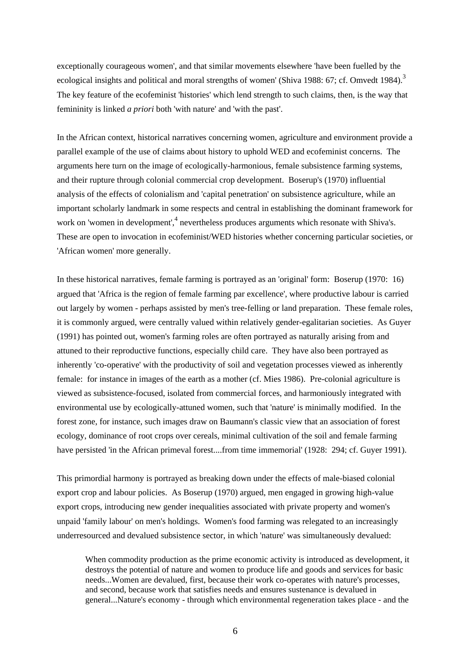exceptionally courageous women', and that similar movements elsewhere 'have been fuelled by the ecological insights and political and moral strengths of women' (Shiva 1988: 67; cf. Omvedt 1984).<sup>3</sup> The key feature of the ecofeminist 'histories' which lend strength to such claims, then, is the way that femininity is linked *a priori* both 'with nature' and 'with the past'.

In the African context, historical narratives concerning women, agriculture and environment provide a parallel example of the use of claims about history to uphold WED and ecofeminist concerns. The arguments here turn on the image of ecologically-harmonious, female subsistence farming systems, and their rupture through colonial commercial crop development. Boserup's (1970) influential analysis of the effects of colonialism and 'capital penetration' on subsistence agriculture, while an important scholarly landmark in some respects and central in establishing the dominant framework for work on 'women in development',<sup>4</sup> nevertheless produces arguments which resonate with Shiva's. These are open to invocation in ecofeminist/WED histories whether concerning particular societies, or 'African women' more generally.

In these historical narratives, female farming is portrayed as an 'original' form: Boserup (1970: 16) argued that 'Africa is the region of female farming par excellence', where productive labour is carried out largely by women - perhaps assisted by men's tree-felling or land preparation. These female roles, it is commonly argued, were centrally valued within relatively gender-egalitarian societies. As Guyer (1991) has pointed out, women's farming roles are often portrayed as naturally arising from and attuned to their reproductive functions, especially child care. They have also been portrayed as inherently 'co-operative' with the productivity of soil and vegetation processes viewed as inherently female: for instance in images of the earth as a mother (cf. Mies 1986). Pre-colonial agriculture is viewed as subsistence-focused, isolated from commercial forces, and harmoniously integrated with environmental use by ecologically-attuned women, such that 'nature' is minimally modified. In the forest zone, for instance, such images draw on Baumann's classic view that an association of forest ecology, dominance of root crops over cereals, minimal cultivation of the soil and female farming have persisted 'in the African primeval forest....from time immemorial' (1928: 294; cf. Guyer 1991).

This primordial harmony is portrayed as breaking down under the effects of male-biased colonial export crop and labour policies. As Boserup (1970) argued, men engaged in growing high-value export crops, introducing new gender inequalities associated with private property and women's unpaid 'family labour' on men's holdings. Women's food farming was relegated to an increasingly underresourced and devalued subsistence sector, in which 'nature' was simultaneously devalued:

When commodity production as the prime economic activity is introduced as development, it destroys the potential of nature and women to produce life and goods and services for basic needs...Women are devalued, first, because their work co-operates with nature's processes, and second, because work that satisfies needs and ensures sustenance is devalued in general...Nature's economy - through which environmental regeneration takes place - and the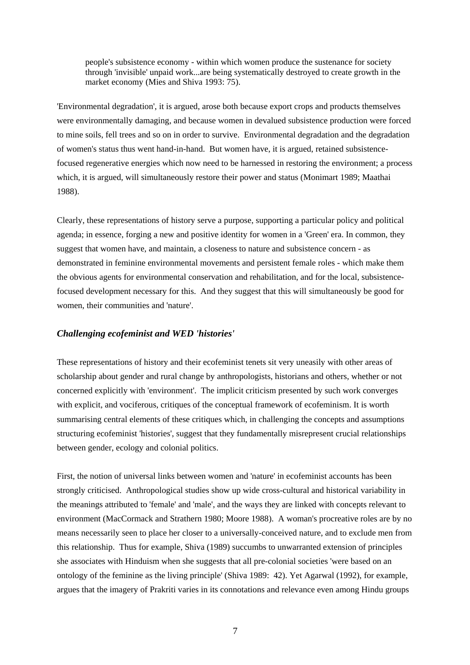people's subsistence economy - within which women produce the sustenance for society through 'invisible' unpaid work...are being systematically destroyed to create growth in the market economy (Mies and Shiva 1993: 75).

'Environmental degradation', it is argued, arose both because export crops and products themselves were environmentally damaging, and because women in devalued subsistence production were forced to mine soils, fell trees and so on in order to survive. Environmental degradation and the degradation of women's status thus went hand-in-hand. But women have, it is argued, retained subsistencefocused regenerative energies which now need to be harnessed in restoring the environment; a process which, it is argued, will simultaneously restore their power and status (Monimart 1989; Maathai 1988).

Clearly, these representations of history serve a purpose, supporting a particular policy and political agenda; in essence, forging a new and positive identity for women in a 'Green' era. In common, they suggest that women have, and maintain, a closeness to nature and subsistence concern - as demonstrated in feminine environmental movements and persistent female roles - which make them the obvious agents for environmental conservation and rehabilitation, and for the local, subsistencefocused development necessary for this. And they suggest that this will simultaneously be good for women, their communities and 'nature'.

# *Challenging ecofeminist and WED 'histories'*

These representations of history and their ecofeminist tenets sit very uneasily with other areas of scholarship about gender and rural change by anthropologists, historians and others, whether or not concerned explicitly with 'environment'. The implicit criticism presented by such work converges with explicit, and vociferous, critiques of the conceptual framework of ecofeminism. It is worth summarising central elements of these critiques which, in challenging the concepts and assumptions structuring ecofeminist 'histories', suggest that they fundamentally misrepresent crucial relationships between gender, ecology and colonial politics.

First, the notion of universal links between women and 'nature' in ecofeminist accounts has been strongly criticised. Anthropological studies show up wide cross-cultural and historical variability in the meanings attributed to 'female' and 'male', and the ways they are linked with concepts relevant to environment (MacCormack and Strathern 1980; Moore 1988). A woman's procreative roles are by no means necessarily seen to place her closer to a universally-conceived nature, and to exclude men from this relationship. Thus for example, Shiva (1989) succumbs to unwarranted extension of principles she associates with Hinduism when she suggests that all pre-colonial societies 'were based on an ontology of the feminine as the living principle' (Shiva 1989: 42). Yet Agarwal (1992), for example, argues that the imagery of Prakriti varies in its connotations and relevance even among Hindu groups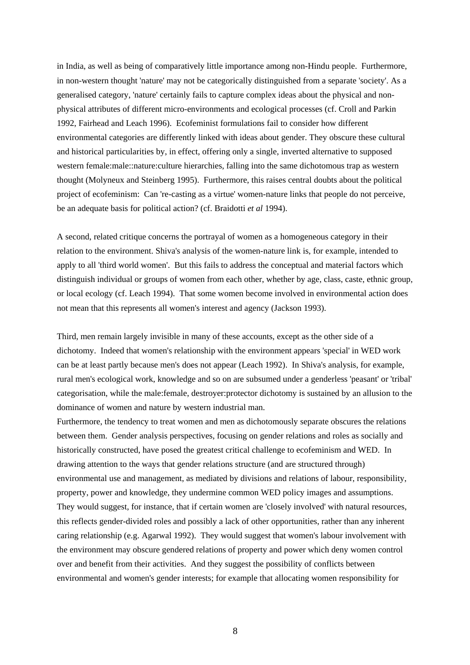in India, as well as being of comparatively little importance among non-Hindu people. Furthermore, in non-western thought 'nature' may not be categorically distinguished from a separate 'society'. As a generalised category, 'nature' certainly fails to capture complex ideas about the physical and nonphysical attributes of different micro-environments and ecological processes (cf. Croll and Parkin 1992, Fairhead and Leach 1996). Ecofeminist formulations fail to consider how different environmental categories are differently linked with ideas about gender. They obscure these cultural and historical particularities by, in effect, offering only a single, inverted alternative to supposed western female:male::nature:culture hierarchies, falling into the same dichotomous trap as western thought (Molyneux and Steinberg 1995). Furthermore, this raises central doubts about the political project of ecofeminism: Can 're-casting as a virtue' women-nature links that people do not perceive, be an adequate basis for political action? (cf. Braidotti *et al* 1994).

A second, related critique concerns the portrayal of women as a homogeneous category in their relation to the environment. Shiva's analysis of the women-nature link is, for example, intended to apply to all 'third world women'. But this fails to address the conceptual and material factors which distinguish individual or groups of women from each other, whether by age, class, caste, ethnic group, or local ecology (cf. Leach 1994). That some women become involved in environmental action does not mean that this represents all women's interest and agency (Jackson 1993).

Third, men remain largely invisible in many of these accounts, except as the other side of a dichotomy. Indeed that women's relationship with the environment appears 'special' in WED work can be at least partly because men's does not appear (Leach 1992). In Shiva's analysis, for example, rural men's ecological work, knowledge and so on are subsumed under a genderless 'peasant' or 'tribal' categorisation, while the male:female, destroyer:protector dichotomy is sustained by an allusion to the dominance of women and nature by western industrial man.

Furthermore, the tendency to treat women and men as dichotomously separate obscures the relations between them. Gender analysis perspectives, focusing on gender relations and roles as socially and historically constructed, have posed the greatest critical challenge to ecofeminism and WED. In drawing attention to the ways that gender relations structure (and are structured through) environmental use and management, as mediated by divisions and relations of labour, responsibility, property, power and knowledge, they undermine common WED policy images and assumptions. They would suggest, for instance, that if certain women are 'closely involved' with natural resources, this reflects gender-divided roles and possibly a lack of other opportunities, rather than any inherent caring relationship (e.g. Agarwal 1992). They would suggest that women's labour involvement with the environment may obscure gendered relations of property and power which deny women control over and benefit from their activities. And they suggest the possibility of conflicts between environmental and women's gender interests; for example that allocating women responsibility for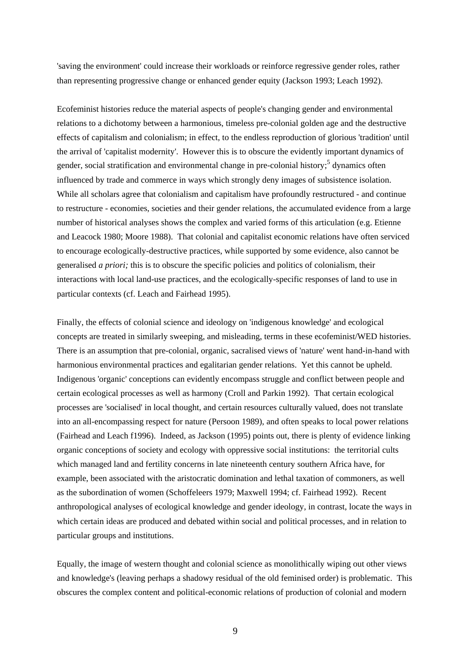'saving the environment' could increase their workloads or reinforce regressive gender roles, rather than representing progressive change or enhanced gender equity (Jackson 1993; Leach 1992).

Ecofeminist histories reduce the material aspects of people's changing gender and environmental relations to a dichotomy between a harmonious, timeless pre-colonial golden age and the destructive effects of capitalism and colonialism; in effect, to the endless reproduction of glorious 'tradition' until the arrival of 'capitalist modernity'. However this is to obscure the evidently important dynamics of gender, social stratification and environmental change in pre-colonial history; <sup>5</sup> dynamics often influenced by trade and commerce in ways which strongly deny images of subsistence isolation. While all scholars agree that colonialism and capitalism have profoundly restructured - and continue to restructure - economies, societies and their gender relations, the accumulated evidence from a large number of historical analyses shows the complex and varied forms of this articulation (e.g. Etienne and Leacock 1980; Moore 1988). That colonial and capitalist economic relations have often serviced to encourage ecologically-destructive practices, while supported by some evidence, also cannot be generalised *a priori;* this is to obscure the specific policies and politics of colonialism, their interactions with local land-use practices, and the ecologically-specific responses of land to use in particular contexts (cf. Leach and Fairhead 1995).

Finally, the effects of colonial science and ideology on 'indigenous knowledge' and ecological concepts are treated in similarly sweeping, and misleading, terms in these ecofeminist/WED histories. There is an assumption that pre-colonial, organic, sacralised views of 'nature' went hand-in-hand with harmonious environmental practices and egalitarian gender relations. Yet this cannot be upheld. Indigenous 'organic' conceptions can evidently encompass struggle and conflict between people and certain ecological processes as well as harmony (Croll and Parkin 1992). That certain ecological processes are 'socialised' in local thought, and certain resources culturally valued, does not translate into an all-encompassing respect for nature (Persoon 1989), and often speaks to local power relations (Fairhead and Leach f1996). Indeed, as Jackson (1995) points out, there is plenty of evidence linking organic conceptions of society and ecology with oppressive social institutions: the territorial cults which managed land and fertility concerns in late nineteenth century southern Africa have, for example, been associated with the aristocratic domination and lethal taxation of commoners, as well as the subordination of women (Schoffeleers 1979; Maxwell 1994; cf. Fairhead 1992). Recent anthropological analyses of ecological knowledge and gender ideology, in contrast, locate the ways in which certain ideas are produced and debated within social and political processes, and in relation to particular groups and institutions.

Equally, the image of western thought and colonial science as monolithically wiping out other views and knowledge's (leaving perhaps a shadowy residual of the old feminised order) is problematic. This obscures the complex content and political-economic relations of production of colonial and modern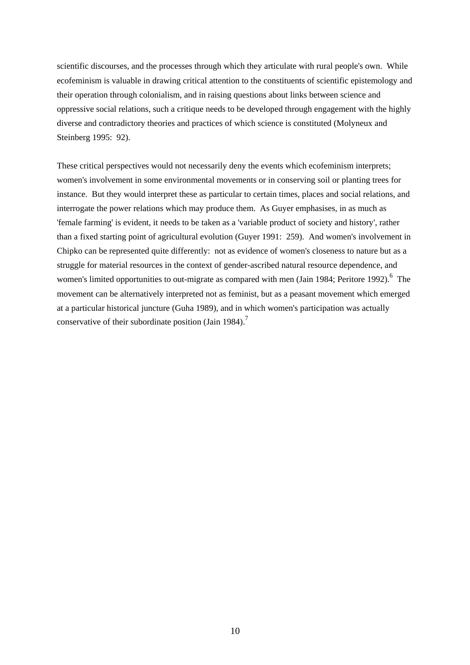scientific discourses, and the processes through which they articulate with rural people's own. While ecofeminism is valuable in drawing critical attention to the constituents of scientific epistemology and their operation through colonialism, and in raising questions about links between science and oppressive social relations, such a critique needs to be developed through engagement with the highly diverse and contradictory theories and practices of which science is constituted (Molyneux and Steinberg 1995: 92).

These critical perspectives would not necessarily deny the events which ecofeminism interprets; women's involvement in some environmental movements or in conserving soil or planting trees for instance. But they would interpret these as particular to certain times, places and social relations, and interrogate the power relations which may produce them. As Guyer emphasises, in as much as 'female farming' is evident, it needs to be taken as a 'variable product of society and history', rather than a fixed starting point of agricultural evolution (Guyer 1991: 259). And women's involvement in Chipko can be represented quite differently: not as evidence of women's closeness to nature but as a struggle for material resources in the context of gender-ascribed natural resource dependence, and women's limited opportunities to out-migrate as compared with men (Jain 1984; Peritore 1992).<sup>6</sup> The movement can be alternatively interpreted not as feminist, but as a peasant movement which emerged at a particular historical juncture (Guha 1989), and in which women's participation was actually conservative of their subordinate position (Jain 1984).<sup>7</sup>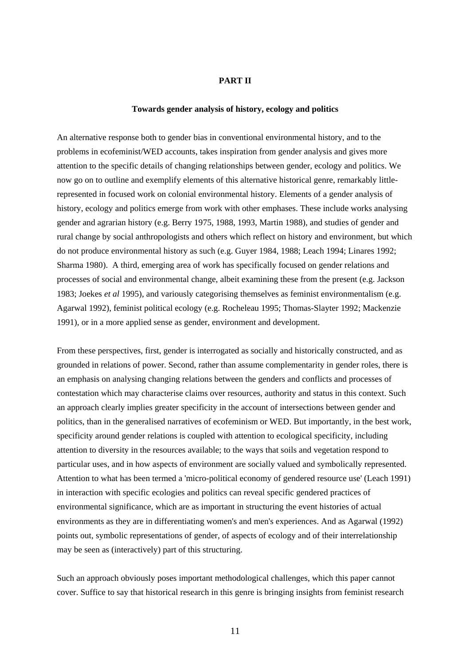## **PART II**

## **Towards gender analysis of history, ecology and politics**

An alternative response both to gender bias in conventional environmental history, and to the problems in ecofeminist/WED accounts, takes inspiration from gender analysis and gives more attention to the specific details of changing relationships between gender, ecology and politics. We now go on to outline and exemplify elements of this alternative historical genre, remarkably littlerepresented in focused work on colonial environmental history. Elements of a gender analysis of history, ecology and politics emerge from work with other emphases. These include works analysing gender and agrarian history (e.g. Berry 1975, 1988, 1993, Martin 1988), and studies of gender and rural change by social anthropologists and others which reflect on history and environment, but which do not produce environmental history as such (e.g. Guyer 1984, 1988; Leach 1994; Linares 1992; Sharma 1980). A third, emerging area of work has specifically focused on gender relations and processes of social and environmental change, albeit examining these from the present (e.g. Jackson 1983; Joekes *et al* 1995), and variously categorising themselves as feminist environmentalism (e.g. Agarwal 1992), feminist political ecology (e.g. Rocheleau 1995; Thomas-Slayter 1992; Mackenzie 1991), or in a more applied sense as gender, environment and development.

From these perspectives, first, gender is interrogated as socially and historically constructed, and as grounded in relations of power. Second, rather than assume complementarity in gender roles, there is an emphasis on analysing changing relations between the genders and conflicts and processes of contestation which may characterise claims over resources, authority and status in this context. Such an approach clearly implies greater specificity in the account of intersections between gender and politics, than in the generalised narratives of ecofeminism or WED. But importantly, in the best work, specificity around gender relations is coupled with attention to ecological specificity, including attention to diversity in the resources available; to the ways that soils and vegetation respond to particular uses, and in how aspects of environment are socially valued and symbolically represented. Attention to what has been termed a 'micro-political economy of gendered resource use' (Leach 1991) in interaction with specific ecologies and politics can reveal specific gendered practices of environmental significance, which are as important in structuring the event histories of actual environments as they are in differentiating women's and men's experiences. And as Agarwal (1992) points out, symbolic representations of gender, of aspects of ecology and of their interrelationship may be seen as (interactively) part of this structuring.

Such an approach obviously poses important methodological challenges, which this paper cannot cover. Suffice to say that historical research in this genre is bringing insights from feminist research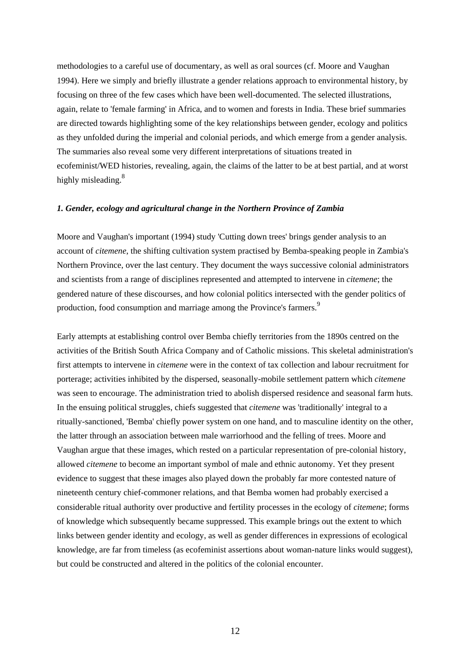methodologies to a careful use of documentary, as well as oral sources (cf. Moore and Vaughan 1994). Here we simply and briefly illustrate a gender relations approach to environmental history, by focusing on three of the few cases which have been well-documented. The selected illustrations, again, relate to 'female farming' in Africa, and to women and forests in India. These brief summaries are directed towards highlighting some of the key relationships between gender, ecology and politics as they unfolded during the imperial and colonial periods, and which emerge from a gender analysis. The summaries also reveal some very different interpretations of situations treated in ecofeminist/WED histories, revealing, again, the claims of the latter to be at best partial, and at worst highly misleading.<sup>8</sup>

#### *1. Gender, ecology and agricultural change in the Northern Province of Zambia*

Moore and Vaughan's important (1994) study 'Cutting down trees' brings gender analysis to an account of *citemene*, the shifting cultivation system practised by Bemba-speaking people in Zambia's Northern Province, over the last century. They document the ways successive colonial administrators and scientists from a range of disciplines represented and attempted to intervene in *citemene*; the gendered nature of these discourses, and how colonial politics intersected with the gender politics of production, food consumption and marriage among the Province's farmers.<sup>9</sup>

Early attempts at establishing control over Bemba chiefly territories from the 1890s centred on the activities of the British South Africa Company and of Catholic missions. This skeletal administration's first attempts to intervene in *citemene* were in the context of tax collection and labour recruitment for porterage; activities inhibited by the dispersed, seasonally-mobile settlement pattern which *citemene* was seen to encourage. The administration tried to abolish dispersed residence and seasonal farm huts. In the ensuing political struggles, chiefs suggested that *citemene* was 'traditionally' integral to a ritually-sanctioned, 'Bemba' chiefly power system on one hand, and to masculine identity on the other, the latter through an association between male warriorhood and the felling of trees. Moore and Vaughan argue that these images, which rested on a particular representation of pre-colonial history, allowed *citemene* to become an important symbol of male and ethnic autonomy. Yet they present evidence to suggest that these images also played down the probably far more contested nature of nineteenth century chief-commoner relations, and that Bemba women had probably exercised a considerable ritual authority over productive and fertility processes in the ecology of *citemene*; forms of knowledge which subsequently became suppressed. This example brings out the extent to which links between gender identity and ecology, as well as gender differences in expressions of ecological knowledge, are far from timeless (as ecofeminist assertions about woman-nature links would suggest), but could be constructed and altered in the politics of the colonial encounter.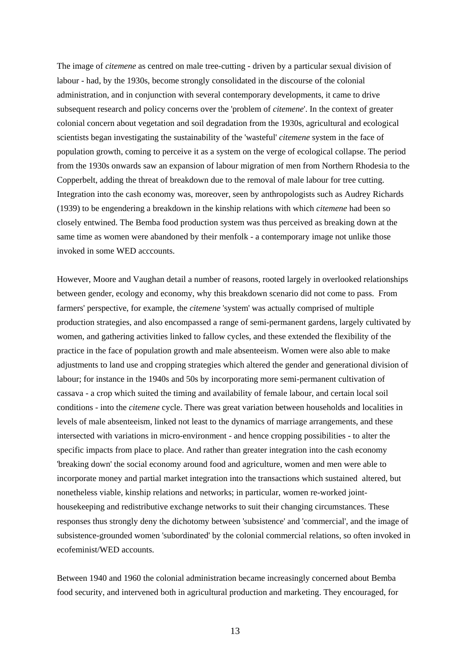The image of *citemene* as centred on male tree-cutting - driven by a particular sexual division of labour - had, by the 1930s, become strongly consolidated in the discourse of the colonial administration, and in conjunction with several contemporary developments, it came to drive subsequent research and policy concerns over the 'problem of *citemene*'. In the context of greater colonial concern about vegetation and soil degradation from the 1930s, agricultural and ecological scientists began investigating the sustainability of the 'wasteful' *citemene* system in the face of population growth, coming to perceive it as a system on the verge of ecological collapse. The period from the 1930s onwards saw an expansion of labour migration of men from Northern Rhodesia to the Copperbelt, adding the threat of breakdown due to the removal of male labour for tree cutting. Integration into the cash economy was, moreover, seen by anthropologists such as Audrey Richards (1939) to be engendering a breakdown in the kinship relations with which *citemene* had been so closely entwined. The Bemba food production system was thus perceived as breaking down at the same time as women were abandoned by their menfolk - a contemporary image not unlike those invoked in some WED acccounts.

However, Moore and Vaughan detail a number of reasons, rooted largely in overlooked relationships between gender, ecology and economy, why this breakdown scenario did not come to pass. From farmers' perspective, for example, the *citemene* 'system' was actually comprised of multiple production strategies, and also encompassed a range of semi-permanent gardens, largely cultivated by women, and gathering activities linked to fallow cycles, and these extended the flexibility of the practice in the face of population growth and male absenteeism. Women were also able to make adjustments to land use and cropping strategies which altered the gender and generational division of labour; for instance in the 1940s and 50s by incorporating more semi-permanent cultivation of cassava - a crop which suited the timing and availability of female labour, and certain local soil conditions - into the *citemene* cycle. There was great variation between households and localities in levels of male absenteeism, linked not least to the dynamics of marriage arrangements, and these intersected with variations in micro-environment - and hence cropping possibilities - to alter the specific impacts from place to place. And rather than greater integration into the cash economy 'breaking down' the social economy around food and agriculture, women and men were able to incorporate money and partial market integration into the transactions which sustained altered, but nonetheless viable, kinship relations and networks; in particular, women re-worked jointhousekeeping and redistributive exchange networks to suit their changing circumstances. These responses thus strongly deny the dichotomy between 'subsistence' and 'commercial', and the image of subsistence-grounded women 'subordinated' by the colonial commercial relations, so often invoked in ecofeminist/WED accounts.

Between 1940 and 1960 the colonial administration became increasingly concerned about Bemba food security, and intervened both in agricultural production and marketing. They encouraged, for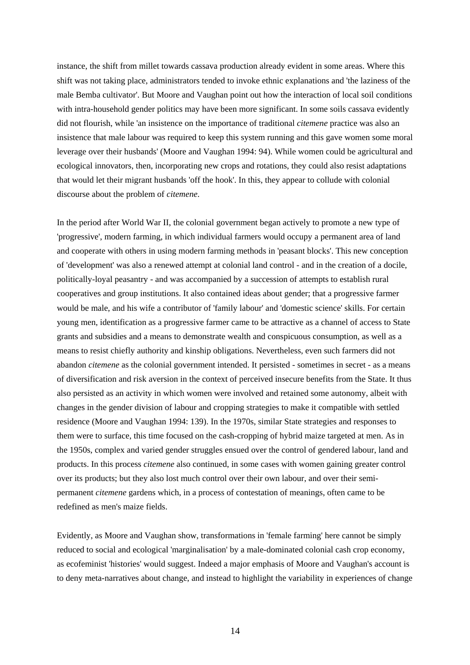instance, the shift from millet towards cassava production already evident in some areas. Where this shift was not taking place, administrators tended to invoke ethnic explanations and 'the laziness of the male Bemba cultivator'. But Moore and Vaughan point out how the interaction of local soil conditions with intra-household gender politics may have been more significant. In some soils cassava evidently did not flourish, while 'an insistence on the importance of traditional *citemene* practice was also an insistence that male labour was required to keep this system running and this gave women some moral leverage over their husbands' (Moore and Vaughan 1994: 94). While women could be agricultural and ecological innovators, then, incorporating new crops and rotations, they could also resist adaptations that would let their migrant husbands 'off the hook'. In this, they appear to collude with colonial discourse about the problem of *citemene*.

In the period after World War II, the colonial government began actively to promote a new type of 'progressive', modern farming, in which individual farmers would occupy a permanent area of land and cooperate with others in using modern farming methods in 'peasant blocks'. This new conception of 'development' was also a renewed attempt at colonial land control - and in the creation of a docile, politically-loyal peasantry - and was accompanied by a succession of attempts to establish rural cooperatives and group institutions. It also contained ideas about gender; that a progressive farmer would be male, and his wife a contributor of 'family labour' and 'domestic science' skills. For certain young men, identification as a progressive farmer came to be attractive as a channel of access to State grants and subsidies and a means to demonstrate wealth and conspicuous consumption, as well as a means to resist chiefly authority and kinship obligations. Nevertheless, even such farmers did not abandon *citemene* as the colonial government intended. It persisted - sometimes in secret - as a means of diversification and risk aversion in the context of perceived insecure benefits from the State. It thus also persisted as an activity in which women were involved and retained some autonomy, albeit with changes in the gender division of labour and cropping strategies to make it compatible with settled residence (Moore and Vaughan 1994: 139). In the 1970s, similar State strategies and responses to them were to surface, this time focused on the cash-cropping of hybrid maize targeted at men. As in the 1950s, complex and varied gender struggles ensued over the control of gendered labour, land and products. In this process *citemene* also continued, in some cases with women gaining greater control over its products; but they also lost much control over their own labour, and over their semipermanent *citemene* gardens which, in a process of contestation of meanings, often came to be redefined as men's maize fields.

Evidently, as Moore and Vaughan show, transformations in 'female farming' here cannot be simply reduced to social and ecological 'marginalisation' by a male-dominated colonial cash crop economy, as ecofeminist 'histories' would suggest. Indeed a major emphasis of Moore and Vaughan's account is to deny meta-narratives about change, and instead to highlight the variability in experiences of change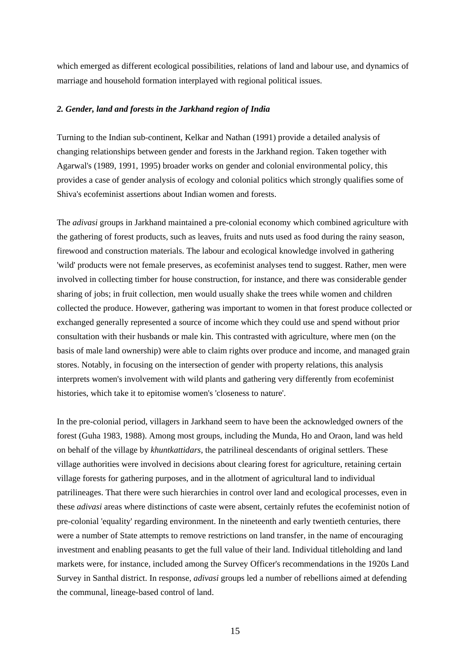which emerged as different ecological possibilities, relations of land and labour use, and dynamics of marriage and household formation interplayed with regional political issues.

# *2. Gender, land and forests in the Jarkhand region of India*

Turning to the Indian sub-continent, Kelkar and Nathan (1991) provide a detailed analysis of changing relationships between gender and forests in the Jarkhand region. Taken together with Agarwal's (1989, 1991, 1995) broader works on gender and colonial environmental policy, this provides a case of gender analysis of ecology and colonial politics which strongly qualifies some of Shiva's ecofeminist assertions about Indian women and forests.

The *adivasi* groups in Jarkhand maintained a pre-colonial economy which combined agriculture with the gathering of forest products, such as leaves, fruits and nuts used as food during the rainy season, firewood and construction materials. The labour and ecological knowledge involved in gathering 'wild' products were not female preserves, as ecofeminist analyses tend to suggest. Rather, men were involved in collecting timber for house construction, for instance, and there was considerable gender sharing of jobs; in fruit collection, men would usually shake the trees while women and children collected the produce. However, gathering was important to women in that forest produce collected or exchanged generally represented a source of income which they could use and spend without prior consultation with their husbands or male kin. This contrasted with agriculture, where men (on the basis of male land ownership) were able to claim rights over produce and income, and managed grain stores. Notably, in focusing on the intersection of gender with property relations, this analysis interprets women's involvement with wild plants and gathering very differently from ecofeminist histories, which take it to epitomise women's 'closeness to nature'.

In the pre-colonial period, villagers in Jarkhand seem to have been the acknowledged owners of the forest (Guha 1983, 1988). Among most groups, including the Munda, Ho and Oraon, land was held on behalf of the village by *khuntkattidars,* the patrilineal descendants of original settlers. These village authorities were involved in decisions about clearing forest for agriculture, retaining certain village forests for gathering purposes, and in the allotment of agricultural land to individual patrilineages. That there were such hierarchies in control over land and ecological processes, even in these *adivasi* areas where distinctions of caste were absent, certainly refutes the ecofeminist notion of pre-colonial 'equality' regarding environment. In the nineteenth and early twentieth centuries, there were a number of State attempts to remove restrictions on land transfer, in the name of encouraging investment and enabling peasants to get the full value of their land. Individual titleholding and land markets were, for instance, included among the Survey Officer's recommendations in the 1920s Land Survey in Santhal district. In response, *adivasi* groups led a number of rebellions aimed at defending the communal, lineage-based control of land.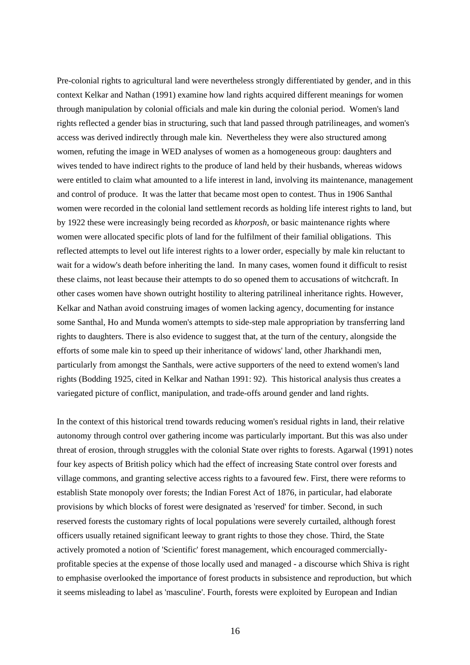Pre-colonial rights to agricultural land were nevertheless strongly differentiated by gender, and in this context Kelkar and Nathan (1991) examine how land rights acquired different meanings for women through manipulation by colonial officials and male kin during the colonial period. Women's land rights reflected a gender bias in structuring, such that land passed through patrilineages, and women's access was derived indirectly through male kin. Nevertheless they were also structured among women, refuting the image in WED analyses of women as a homogeneous group: daughters and wives tended to have indirect rights to the produce of land held by their husbands, whereas widows were entitled to claim what amounted to a life interest in land, involving its maintenance, management and control of produce. It was the latter that became most open to contest. Thus in 1906 Santhal women were recorded in the colonial land settlement records as holding life interest rights to land, but by 1922 these were increasingly being recorded as *khorposh,* or basic maintenance rights where women were allocated specific plots of land for the fulfilment of their familial obligations. This reflected attempts to level out life interest rights to a lower order, especially by male kin reluctant to wait for a widow's death before inheriting the land. In many cases, women found it difficult to resist these claims, not least because their attempts to do so opened them to accusations of witchcraft. In other cases women have shown outright hostility to altering patrilineal inheritance rights. However, Kelkar and Nathan avoid construing images of women lacking agency, documenting for instance some Santhal, Ho and Munda women's attempts to side-step male appropriation by transferring land rights to daughters. There is also evidence to suggest that, at the turn of the century, alongside the efforts of some male kin to speed up their inheritance of widows' land, other Jharkhandi men, particularly from amongst the Santhals, were active supporters of the need to extend women's land rights (Bodding 1925, cited in Kelkar and Nathan 1991: 92). This historical analysis thus creates a variegated picture of conflict, manipulation, and trade-offs around gender and land rights.

In the context of this historical trend towards reducing women's residual rights in land, their relative autonomy through control over gathering income was particularly important. But this was also under threat of erosion, through struggles with the colonial State over rights to forests. Agarwal (1991) notes four key aspects of British policy which had the effect of increasing State control over forests and village commons, and granting selective access rights to a favoured few. First, there were reforms to establish State monopoly over forests; the Indian Forest Act of 1876, in particular, had elaborate provisions by which blocks of forest were designated as 'reserved' for timber. Second, in such reserved forests the customary rights of local populations were severely curtailed, although forest officers usually retained significant leeway to grant rights to those they chose. Third, the State actively promoted a notion of 'Scientific' forest management, which encouraged commerciallyprofitable species at the expense of those locally used and managed - a discourse which Shiva is right to emphasise overlooked the importance of forest products in subsistence and reproduction, but which it seems misleading to label as 'masculine'. Fourth, forests were exploited by European and Indian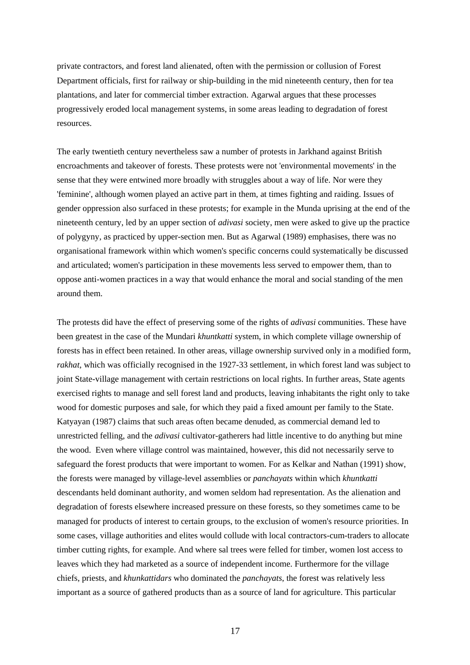private contractors, and forest land alienated, often with the permission or collusion of Forest Department officials, first for railway or ship-building in the mid nineteenth century, then for tea plantations, and later for commercial timber extraction. Agarwal argues that these processes progressively eroded local management systems, in some areas leading to degradation of forest resources.

The early twentieth century nevertheless saw a number of protests in Jarkhand against British encroachments and takeover of forests. These protests were not 'environmental movements' in the sense that they were entwined more broadly with struggles about a way of life. Nor were they 'feminine', although women played an active part in them, at times fighting and raiding. Issues of gender oppression also surfaced in these protests; for example in the Munda uprising at the end of the nineteenth century, led by an upper section of *adivasi* society, men were asked to give up the practice of polygyny, as practiced by upper-section men. But as Agarwal (1989) emphasises, there was no organisational framework within which women's specific concerns could systematically be discussed and articulated; women's participation in these movements less served to empower them, than to oppose anti-women practices in a way that would enhance the moral and social standing of the men around them.

The protests did have the effect of preserving some of the rights of *adivasi* communities. These have been greatest in the case of the Mundari *khuntkatti* system, in which complete village ownership of forests has in effect been retained. In other areas, village ownership survived only in a modified form, *rakhat*, which was officially recognised in the 1927-33 settlement, in which forest land was subject to joint State-village management with certain restrictions on local rights. In further areas, State agents exercised rights to manage and sell forest land and products, leaving inhabitants the right only to take wood for domestic purposes and sale, for which they paid a fixed amount per family to the State. Katyayan (1987) claims that such areas often became denuded, as commercial demand led to unrestricted felling, and the *adivasi* cultivator-gatherers had little incentive to do anything but mine the wood. Even where village control was maintained, however, this did not necessarily serve to safeguard the forest products that were important to women. For as Kelkar and Nathan (1991) show, the forests were managed by village-level assemblies or *panchayats* within which *khuntkatti* descendants held dominant authority, and women seldom had representation. As the alienation and degradation of forests elsewhere increased pressure on these forests, so they sometimes came to be managed for products of interest to certain groups, to the exclusion of women's resource priorities. In some cases, village authorities and elites would collude with local contractors-cum-traders to allocate timber cutting rights, for example. And where sal trees were felled for timber, women lost access to leaves which they had marketed as a source of independent income. Furthermore for the village chiefs, priests, and *khunkattidars* who dominated the *panchayats*, the forest was relatively less important as a source of gathered products than as a source of land for agriculture. This particular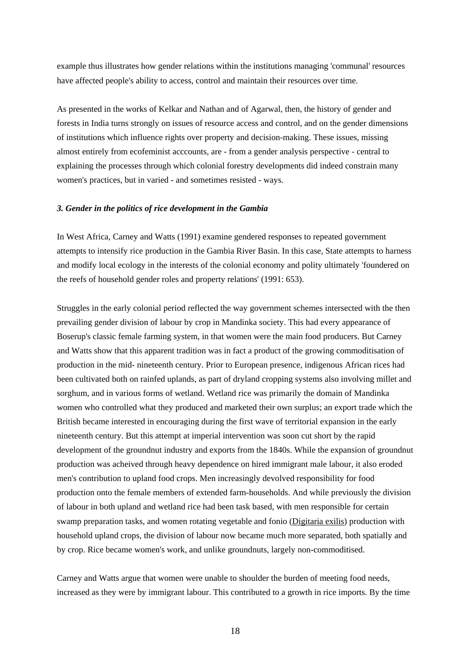example thus illustrates how gender relations within the institutions managing 'communal' resources have affected people's ability to access, control and maintain their resources over time.

As presented in the works of Kelkar and Nathan and of Agarwal, then, the history of gender and forests in India turns strongly on issues of resource access and control, and on the gender dimensions of institutions which influence rights over property and decision-making. These issues, missing almost entirely from ecofeminist acccounts, are - from a gender analysis perspective - central to explaining the processes through which colonial forestry developments did indeed constrain many women's practices, but in varied - and sometimes resisted - ways.

## *3. Gender in the politics of rice development in the Gambia*

In West Africa, Carney and Watts (1991) examine gendered responses to repeated government attempts to intensify rice production in the Gambia River Basin. In this case, State attempts to harness and modify local ecology in the interests of the colonial economy and polity ultimately 'foundered on the reefs of household gender roles and property relations' (1991: 653).

Struggles in the early colonial period reflected the way government schemes intersected with the then prevailing gender division of labour by crop in Mandinka society. This had every appearance of Boserup's classic female farming system, in that women were the main food producers. But Carney and Watts show that this apparent tradition was in fact a product of the growing commoditisation of production in the mid- nineteenth century. Prior to European presence, indigenous African rices had been cultivated both on rainfed uplands, as part of dryland cropping systems also involving millet and sorghum, and in various forms of wetland. Wetland rice was primarily the domain of Mandinka women who controlled what they produced and marketed their own surplus; an export trade which the British became interested in encouraging during the first wave of territorial expansion in the early nineteenth century. But this attempt at imperial intervention was soon cut short by the rapid development of the groundnut industry and exports from the 1840s. While the expansion of groundnut production was acheived through heavy dependence on hired immigrant male labour, it also eroded men's contribution to upland food crops. Men increasingly devolved responsibility for food production onto the female members of extended farm-households. And while previously the division of labour in both upland and wetland rice had been task based, with men responsible for certain swamp preparation tasks, and women rotating vegetable and fonio (Digitaria exilis) production with household upland crops, the division of labour now became much more separated, both spatially and by crop. Rice became women's work, and unlike groundnuts, largely non-commoditised.

Carney and Watts argue that women were unable to shoulder the burden of meeting food needs, increased as they were by immigrant labour. This contributed to a growth in rice imports. By the time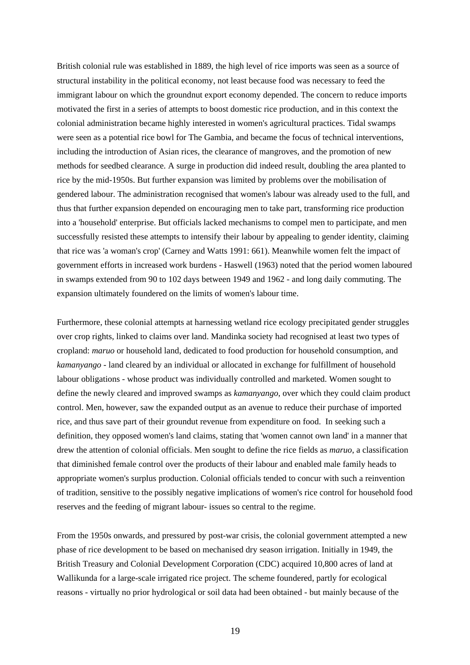British colonial rule was established in 1889, the high level of rice imports was seen as a source of structural instability in the political economy, not least because food was necessary to feed the immigrant labour on which the groundnut export economy depended. The concern to reduce imports motivated the first in a series of attempts to boost domestic rice production, and in this context the colonial administration became highly interested in women's agricultural practices. Tidal swamps were seen as a potential rice bowl for The Gambia, and became the focus of technical interventions, including the introduction of Asian rices, the clearance of mangroves, and the promotion of new methods for seedbed clearance. A surge in production did indeed result, doubling the area planted to rice by the mid-1950s. But further expansion was limited by problems over the mobilisation of gendered labour. The administration recognised that women's labour was already used to the full, and thus that further expansion depended on encouraging men to take part, transforming rice production into a 'household' enterprise. But officials lacked mechanisms to compel men to participate, and men successfully resisted these attempts to intensify their labour by appealing to gender identity, claiming that rice was 'a woman's crop' (Carney and Watts 1991: 661). Meanwhile women felt the impact of government efforts in increased work burdens - Haswell (1963) noted that the period women laboured in swamps extended from 90 to 102 days between 1949 and 1962 - and long daily commuting. The expansion ultimately foundered on the limits of women's labour time.

Furthermore, these colonial attempts at harnessing wetland rice ecology precipitated gender struggles over crop rights, linked to claims over land. Mandinka society had recognised at least two types of cropland: *maruo* or household land, dedicated to food production for household consumption, and *kamanyango* - land cleared by an individual or allocated in exchange for fulfillment of household labour obligations - whose product was individually controlled and marketed. Women sought to define the newly cleared and improved swamps as *kamanyango*, over which they could claim product control. Men, however, saw the expanded output as an avenue to reduce their purchase of imported rice, and thus save part of their groundut revenue from expenditure on food. In seeking such a definition, they opposed women's land claims, stating that 'women cannot own land' in a manner that drew the attention of colonial officials. Men sought to define the rice fields as *maruo*, a classification that diminished female control over the products of their labour and enabled male family heads to appropriate women's surplus production. Colonial officials tended to concur with such a reinvention of tradition, sensitive to the possibly negative implications of women's rice control for household food reserves and the feeding of migrant labour- issues so central to the regime.

From the 1950s onwards, and pressured by post-war crisis, the colonial government attempted a new phase of rice development to be based on mechanised dry season irrigation. Initially in 1949, the British Treasury and Colonial Development Corporation (CDC) acquired 10,800 acres of land at Wallikunda for a large-scale irrigated rice project. The scheme foundered, partly for ecological reasons - virtually no prior hydrological or soil data had been obtained - but mainly because of the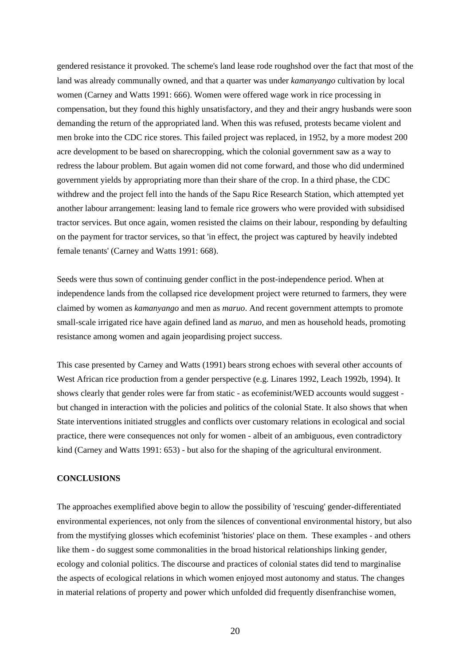gendered resistance it provoked. The scheme's land lease rode roughshod over the fact that most of the land was already communally owned, and that a quarter was under *kamanyango* cultivation by local women (Carney and Watts 1991: 666). Women were offered wage work in rice processing in compensation, but they found this highly unsatisfactory, and they and their angry husbands were soon demanding the return of the appropriated land. When this was refused, protests became violent and men broke into the CDC rice stores. This failed project was replaced, in 1952, by a more modest 200 acre development to be based on sharecropping, which the colonial government saw as a way to redress the labour problem. But again women did not come forward, and those who did undermined government yields by appropriating more than their share of the crop. In a third phase, the CDC withdrew and the project fell into the hands of the Sapu Rice Research Station, which attempted yet another labour arrangement: leasing land to female rice growers who were provided with subsidised tractor services. But once again, women resisted the claims on their labour, responding by defaulting on the payment for tractor services, so that 'in effect, the project was captured by heavily indebted female tenants' (Carney and Watts 1991: 668).

Seeds were thus sown of continuing gender conflict in the post-independence period. When at independence lands from the collapsed rice development project were returned to farmers, they were claimed by women as *kamanyango* and men as *maruo*. And recent government attempts to promote small-scale irrigated rice have again defined land as *maruo*, and men as household heads, promoting resistance among women and again jeopardising project success.

This case presented by Carney and Watts (1991) bears strong echoes with several other accounts of West African rice production from a gender perspective (e.g. Linares 1992, Leach 1992b, 1994). It shows clearly that gender roles were far from static - as ecofeminist/WED accounts would suggest but changed in interaction with the policies and politics of the colonial State. It also shows that when State interventions initiated struggles and conflicts over customary relations in ecological and social practice, there were consequences not only for women - albeit of an ambiguous, even contradictory kind (Carney and Watts 1991: 653) - but also for the shaping of the agricultural environment.

#### **CONCLUSIONS**

The approaches exemplified above begin to allow the possibility of 'rescuing' gender-differentiated environmental experiences, not only from the silences of conventional environmental history, but also from the mystifying glosses which ecofeminist 'histories' place on them. These examples - and others like them - do suggest some commonalities in the broad historical relationships linking gender, ecology and colonial politics. The discourse and practices of colonial states did tend to marginalise the aspects of ecological relations in which women enjoyed most autonomy and status. The changes in material relations of property and power which unfolded did frequently disenfranchise women,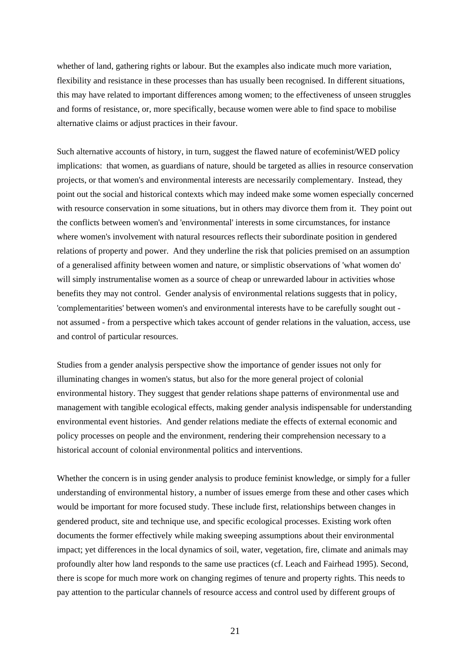whether of land, gathering rights or labour. But the examples also indicate much more variation, flexibility and resistance in these processes than has usually been recognised. In different situations, this may have related to important differences among women; to the effectiveness of unseen struggles and forms of resistance, or, more specifically, because women were able to find space to mobilise alternative claims or adjust practices in their favour.

Such alternative accounts of history, in turn, suggest the flawed nature of ecofeminist/WED policy implications: that women, as guardians of nature, should be targeted as allies in resource conservation projects, or that women's and environmental interests are necessarily complementary. Instead, they point out the social and historical contexts which may indeed make some women especially concerned with resource conservation in some situations, but in others may divorce them from it. They point out the conflicts between women's and 'environmental' interests in some circumstances, for instance where women's involvement with natural resources reflects their subordinate position in gendered relations of property and power. And they underline the risk that policies premised on an assumption of a generalised affinity between women and nature, or simplistic observations of 'what women do' will simply instrumentalise women as a source of cheap or unrewarded labour in activities whose benefits they may not control. Gender analysis of environmental relations suggests that in policy, 'complementarities' between women's and environmental interests have to be carefully sought out not assumed - from a perspective which takes account of gender relations in the valuation, access, use and control of particular resources.

Studies from a gender analysis perspective show the importance of gender issues not only for illuminating changes in women's status, but also for the more general project of colonial environmental history. They suggest that gender relations shape patterns of environmental use and management with tangible ecological effects, making gender analysis indispensable for understanding environmental event histories. And gender relations mediate the effects of external economic and policy processes on people and the environment, rendering their comprehension necessary to a historical account of colonial environmental politics and interventions.

Whether the concern is in using gender analysis to produce feminist knowledge, or simply for a fuller understanding of environmental history, a number of issues emerge from these and other cases which would be important for more focused study. These include first, relationships between changes in gendered product, site and technique use, and specific ecological processes. Existing work often documents the former effectively while making sweeping assumptions about their environmental impact; yet differences in the local dynamics of soil, water, vegetation, fire, climate and animals may profoundly alter how land responds to the same use practices (cf. Leach and Fairhead 1995). Second, there is scope for much more work on changing regimes of tenure and property rights. This needs to pay attention to the particular channels of resource access and control used by different groups of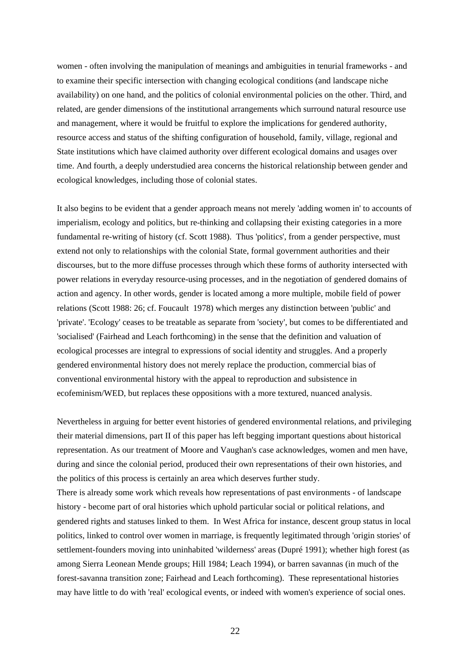women - often involving the manipulation of meanings and ambiguities in tenurial frameworks - and to examine their specific intersection with changing ecological conditions (and landscape niche availability) on one hand, and the politics of colonial environmental policies on the other. Third, and related, are gender dimensions of the institutional arrangements which surround natural resource use and management, where it would be fruitful to explore the implications for gendered authority, resource access and status of the shifting configuration of household, family, village, regional and State institutions which have claimed authority over different ecological domains and usages over time. And fourth, a deeply understudied area concerns the historical relationship between gender and ecological knowledges, including those of colonial states.

It also begins to be evident that a gender approach means not merely 'adding women in' to accounts of imperialism, ecology and politics, but re-thinking and collapsing their existing categories in a more fundamental re-writing of history (cf. Scott 1988). Thus 'politics', from a gender perspective, must extend not only to relationships with the colonial State, formal government authorities and their discourses, but to the more diffuse processes through which these forms of authority intersected with power relations in everyday resource-using processes, and in the negotiation of gendered domains of action and agency. In other words, gender is located among a more multiple, mobile field of power relations (Scott 1988: 26; cf. Foucault 1978) which merges any distinction between 'public' and 'private'. 'Ecology' ceases to be treatable as separate from 'society', but comes to be differentiated and 'socialised' (Fairhead and Leach forthcoming) in the sense that the definition and valuation of ecological processes are integral to expressions of social identity and struggles. And a properly gendered environmental history does not merely replace the production, commercial bias of conventional environmental history with the appeal to reproduction and subsistence in ecofeminism/WED, but replaces these oppositions with a more textured, nuanced analysis.

Nevertheless in arguing for better event histories of gendered environmental relations, and privileging their material dimensions, part II of this paper has left begging important questions about historical representation. As our treatment of Moore and Vaughan's case acknowledges, women and men have, during and since the colonial period, produced their own representations of their own histories, and the politics of this process is certainly an area which deserves further study.

There is already some work which reveals how representations of past environments - of landscape history - become part of oral histories which uphold particular social or political relations, and gendered rights and statuses linked to them. In West Africa for instance, descent group status in local politics, linked to control over women in marriage, is frequently legitimated through 'origin stories' of settlement-founders moving into uninhabited 'wilderness' areas (Dupré 1991); whether high forest (as among Sierra Leonean Mende groups; Hill 1984; Leach 1994), or barren savannas (in much of the forest-savanna transition zone; Fairhead and Leach forthcoming). These representational histories may have little to do with 'real' ecological events, or indeed with women's experience of social ones.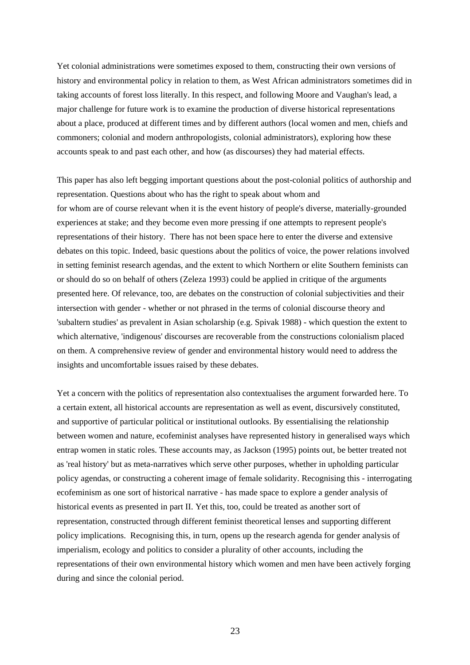Yet colonial administrations were sometimes exposed to them, constructing their own versions of history and environmental policy in relation to them, as West African administrators sometimes did in taking accounts of forest loss literally. In this respect, and following Moore and Vaughan's lead, a major challenge for future work is to examine the production of diverse historical representations about a place, produced at different times and by different authors (local women and men, chiefs and commoners; colonial and modern anthropologists, colonial administrators), exploring how these accounts speak to and past each other, and how (as discourses) they had material effects.

This paper has also left begging important questions about the post-colonial politics of authorship and representation. Questions about who has the right to speak about whom and for whom are of course relevant when it is the event history of people's diverse, materially-grounded experiences at stake; and they become even more pressing if one attempts to represent people's representations of their history. There has not been space here to enter the diverse and extensive debates on this topic. Indeed, basic questions about the politics of voice, the power relations involved in setting feminist research agendas, and the extent to which Northern or elite Southern feminists can or should do so on behalf of others (Zeleza 1993) could be applied in critique of the arguments presented here. Of relevance, too, are debates on the construction of colonial subjectivities and their intersection with gender - whether or not phrased in the terms of colonial discourse theory and 'subaltern studies' as prevalent in Asian scholarship (e.g. Spivak 1988) - which question the extent to which alternative, 'indigenous' discourses are recoverable from the constructions colonialism placed on them. A comprehensive review of gender and environmental history would need to address the insights and uncomfortable issues raised by these debates.

Yet a concern with the politics of representation also contextualises the argument forwarded here. To a certain extent, all historical accounts are representation as well as event, discursively constituted, and supportive of particular political or institutional outlooks. By essentialising the relationship between women and nature, ecofeminist analyses have represented history in generalised ways which entrap women in static roles. These accounts may, as Jackson (1995) points out, be better treated not as 'real history' but as meta-narratives which serve other purposes, whether in upholding particular policy agendas, or constructing a coherent image of female solidarity. Recognising this - interrogating ecofeminism as one sort of historical narrative - has made space to explore a gender analysis of historical events as presented in part II. Yet this, too, could be treated as another sort of representation, constructed through different feminist theoretical lenses and supporting different policy implications. Recognising this, in turn, opens up the research agenda for gender analysis of imperialism, ecology and politics to consider a plurality of other accounts, including the representations of their own environmental history which women and men have been actively forging during and since the colonial period.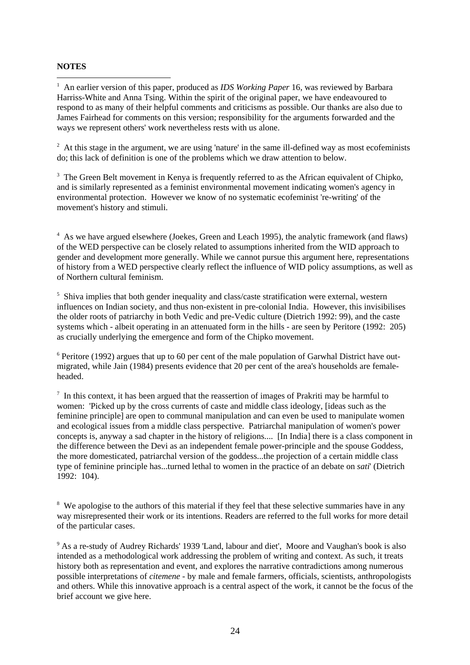# **NOTES**

 $\overline{a}$ <sup>1</sup> An earlier version of this paper, produced as *IDS Working Paper* 16, was reviewed by Barbara Harriss-White and Anna Tsing. Within the spirit of the original paper, we have endeavoured to respond to as many of their helpful comments and criticisms as possible. Our thanks are also due to James Fairhead for comments on this version; responsibility for the arguments forwarded and the ways we represent others' work nevertheless rests with us alone.

 $2<sup>2</sup>$  At this stage in the argument, we are using 'nature' in the same ill-defined way as most ecofeminists do; this lack of definition is one of the problems which we draw attention to below.

 $3$  The Green Belt movement in Kenya is frequently referred to as the African equivalent of Chipko, and is similarly represented as a feminist environmental movement indicating women's agency in environmental protection. However we know of no systematic ecofeminist 're-writing' of the movement's history and stimuli.

<sup>4</sup> As we have argued elsewhere (Joekes, Green and Leach 1995), the analytic framework (and flaws) of the WED perspective can be closely related to assumptions inherited from the WID approach to gender and development more generally. While we cannot pursue this argument here, representations of history from a WED perspective clearly reflect the influence of WID policy assumptions, as well as of Northern cultural feminism.

<sup>5</sup> Shiva implies that both gender inequality and class/caste stratification were external, western influences on Indian society, and thus non-existent in pre-colonial India. However, this invisibilises the older roots of patriarchy in both Vedic and pre-Vedic culture (Dietrich 1992: 99), and the caste systems which - albeit operating in an attenuated form in the hills - are seen by Peritore (1992: 205) as crucially underlying the emergence and form of the Chipko movement.

<sup>6</sup> Peritore (1992) argues that up to 60 per cent of the male population of Garwhal District have outmigrated, while Jain (1984) presents evidence that 20 per cent of the area's households are femaleheaded.

 $<sup>7</sup>$  In this context, it has been argued that the reassertion of images of Prakriti may be harmful to</sup> women: 'Picked up by the cross currents of caste and middle class ideology, [ideas such as the feminine principle] are open to communal manipulation and can even be used to manipulate women and ecological issues from a middle class perspective. Patriarchal manipulation of women's power concepts is, anyway a sad chapter in the history of religions.... [In India] there is a class component in the difference between the Devi as an independent female power-principle and the spouse Goddess, the more domesticated, patriarchal version of the goddess...the projection of a certain middle class type of feminine principle has...turned lethal to women in the practice of an debate on *sati*' (Dietrich 1992: 104).

<sup>8</sup> We apologise to the authors of this material if they feel that these selective summaries have in any way misrepresented their work or its intentions. Readers are referred to the full works for more detail of the particular cases.

<sup>9</sup> As a re-study of Audrey Richards' 1939 'Land, labour and diet', Moore and Vaughan's book is also intended as a methodological work addressing the problem of writing and context. As such, it treats history both as representation and event, and explores the narrative contradictions among numerous possible interpretations of *citemene* - by male and female farmers, officials, scientists, anthropologists and others. While this innovative approach is a central aspect of the work, it cannot be the focus of the brief account we give here.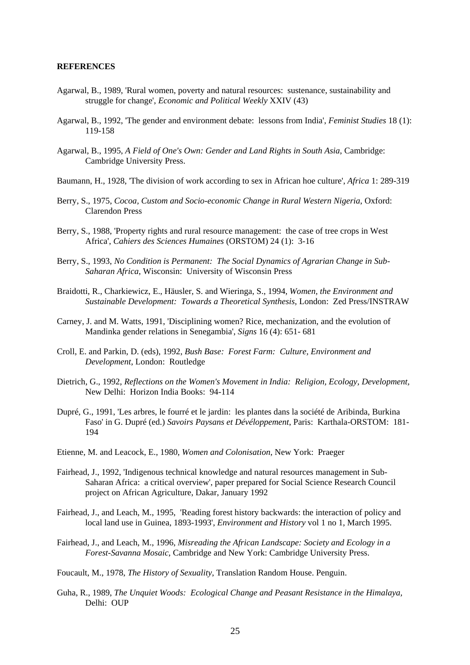## **REFERENCES**

- Agarwal, B., 1989, 'Rural women, poverty and natural resources: sustenance, sustainability and struggle for change', *Economic and Political Weekly* XXIV (43)
- Agarwal, B., 1992, 'The gender and environment debate: lessons from India', *Feminist Studies* 18 (1): 119-158
- Agarwal, B., 1995, *A Field of One's Own: Gender and Land Rights in South Asia*, Cambridge: Cambridge University Press.
- Baumann, H., 1928, 'The division of work according to sex in African hoe culture', *Africa* 1: 289-319
- Berry, S., 1975, *Cocoa, Custom and Socio-economic Change in Rural Western Nigeria*, Oxford: Clarendon Press
- Berry, S., 1988, 'Property rights and rural resource management: the case of tree crops in West Africa', *Cahiers des Sciences Humaines* (ORSTOM) 24 (1): 3-16
- Berry, S., 1993, *No Condition is Permanent: The Social Dynamics of Agrarian Change in Sub-Saharan Africa*, Wisconsin: University of Wisconsin Press
- Braidotti, R., Charkiewicz, E., Häusler, S. and Wieringa, S., 1994, *Women, the Environment and Sustainable Development: Towards a Theoretical Synthesis,* London: Zed Press/INSTRAW
- Carney, J. and M. Watts, 1991, 'Disciplining women? Rice, mechanization, and the evolution of Mandinka gender relations in Senegambia', *Signs* 16 (4): 651- 681
- Croll, E. and Parkin, D. (eds), 1992, *Bush Base: Forest Farm: Culture, Environment and Development*, London: Routledge
- Dietrich, G., 1992, *Reflections on the Women's Movement in India: Religion, Ecology, Development,* New Delhi: Horizon India Books: 94-114
- Dupré, G., 1991, 'Les arbres, le fourré et le jardin: les plantes dans la société de Aribinda, Burkina Faso' in G. Dupré (ed.) *Savoirs Paysans et Dévéloppement*, Paris: Karthala-ORSTOM: 181- 194
- Etienne, M. and Leacock, E., 1980, *Women and Colonisation*, New York: Praeger
- Fairhead, J., 1992, 'Indigenous technical knowledge and natural resources management in Sub-Saharan Africa: a critical overview', paper prepared for Social Science Research Council project on African Agriculture, Dakar, January 1992
- Fairhead, J., and Leach, M., 1995, 'Reading forest history backwards: the interaction of policy and local land use in Guinea, 1893-1993', *Environment and History* vol 1 no 1, March 1995.
- Fairhead, J., and Leach, M., 1996, *Misreading the African Landscape: Society and Ecology in a Forest-Savanna Mosaic*, Cambridge and New York: Cambridge University Press.

Foucault, M., 1978, *The History of Sexuality*, Translation Random House. Penguin.

Guha, R., 1989, *The Unquiet Woods: Ecological Change and Peasant Resistance in the Himalaya,* Delhi: OUP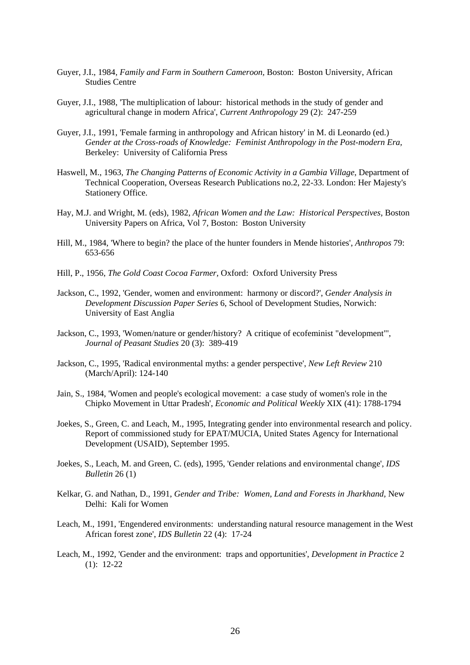- Guyer, J.I., 1984, *Family and Farm in Southern Cameroon,* Boston: Boston University, African Studies Centre
- Guyer, J.I., 1988, 'The multiplication of labour: historical methods in the study of gender and agricultural change in modern Africa', *Current Anthropology* 29 (2): 247-259
- Guyer, J.I., 1991, 'Female farming in anthropology and African history' in M. di Leonardo (ed.) *Gender at the Cross-roads of Knowledge: Feminist Anthropology in the Post-modern Era,* Berkeley: University of California Press
- Haswell, M., 1963, *The Changing Patterns of Economic Activity in a Gambia Village*, Department of Technical Cooperation, Overseas Research Publications no.2, 22-33. London: Her Majesty's Stationery Office.
- Hay, M.J. and Wright, M. (eds), 1982, *African Women and the Law: Historical Perspectives,* Boston University Papers on Africa, Vol 7, Boston: Boston University
- Hill, M., 1984, 'Where to begin? the place of the hunter founders in Mende histories', *Anthropos* 79: 653-656
- Hill, P., 1956, *The Gold Coast Cocoa Farmer,* Oxford: Oxford University Press
- Jackson, C., 1992, 'Gender, women and environment: harmony or discord?', *Gender Analysis in Development Discussion Paper Series* 6, School of Development Studies, Norwich: University of East Anglia
- Jackson, C., 1993, 'Women/nature or gender/history? A critique of ecofeminist "development"', *Journal of Peasant Studies* 20 (3): 389-419
- Jackson, C., 1995, 'Radical environmental myths: a gender perspective', *New Left Review* 210 (March/April): 124-140
- Jain, S., 1984, 'Women and people's ecological movement: a case study of women's role in the Chipko Movement in Uttar Pradesh', *Economic and Political Weekly* XIX (41): 1788-1794
- Joekes, S., Green, C. and Leach, M., 1995, Integrating gender into environmental research and policy. Report of commissioned study for EPAT/MUCIA, United States Agency for International Development (USAID), September 1995.
- Joekes, S., Leach, M. and Green, C. (eds), 1995, 'Gender relations and environmental change', *IDS Bulletin* 26 (1)
- Kelkar, G. and Nathan, D., 1991, *Gender and Tribe: Women, Land and Forests in Jharkhand,* New Delhi: Kali for Women
- Leach, M., 1991, 'Engendered environments: understanding natural resource management in the West African forest zone', *IDS Bulletin* 22 (4): 17-24
- Leach, M., 1992, 'Gender and the environment: traps and opportunities', *Development in Practice* 2 (1): 12-22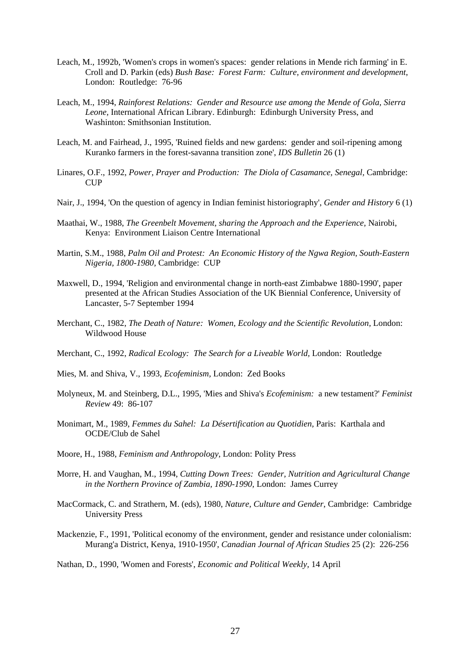- Leach, M., 1992b, 'Women's crops in women's spaces: gender relations in Mende rich farming' in E. Croll and D. Parkin (eds) *Bush Base: Forest Farm: Culture, environment and development*, London: Routledge: 76-96
- Leach, M., 1994, *Rainforest Relations: Gender and Resource use among the Mende of Gola, Sierra Leone,* International African Library. Edinburgh: Edinburgh University Press, and Washinton: Smithsonian Institution.
- Leach, M. and Fairhead, J., 1995, 'Ruined fields and new gardens: gender and soil-ripening among Kuranko farmers in the forest-savanna transition zone', *IDS Bulletin* 26 (1)
- Linares, O.F., 1992, *Power, Prayer and Production: The Diola of Casamance, Senegal,* Cambridge: **CUP**
- Nair, J., 1994, 'On the question of agency in Indian feminist historiography', *Gender and History* 6 (1)
- Maathai, W., 1988, *The Greenbelt Movement, sharing the Approach and the Experience,* Nairobi, Kenya: Environment Liaison Centre International
- Martin, S.M., 1988, *Palm Oil and Protest: An Economic History of the Ngwa Region, South-Eastern Nigeria, 1800-1980,* Cambridge: CUP
- Maxwell, D., 1994, 'Religion and environmental change in north-east Zimbabwe 1880-1990', paper presented at the African Studies Association of the UK Biennial Conference, University of Lancaster, 5-7 September 1994
- Merchant, C., 1982, *The Death of Nature: Women, Ecology and the Scientific Revolution,* London: Wildwood House
- Merchant, C., 1992, *Radical Ecology: The Search for a Liveable World,* London: Routledge
- Mies, M. and Shiva, V., 1993, *Ecofeminism,* London: Zed Books
- Molyneux, M. and Steinberg, D.L., 1995, 'Mies and Shiva's *Ecofeminism:* a new testament?' *Feminist Review* 49: 86-107
- Monimart, M., 1989, *Femmes du Sahel: La Désertification au Quotidien,* Paris: Karthala and OCDE/Club de Sahel
- Moore, H., 1988, *Feminism and Anthropology*, London: Polity Press
- Morre, H. and Vaughan, M., 1994, *Cutting Down Trees: Gender, Nutrition and Agricultural Change in the Northern Province of Zambia, 1890-1990,* London: James Currey
- MacCormack, C. and Strathern, M. (eds), 1980, *Nature, Culture and Gender*, Cambridge: Cambridge University Press
- Mackenzie, F., 1991, 'Political economy of the environment, gender and resistance under colonialism: Murang'a District, Kenya, 1910-1950', *Canadian Journal of African Studies* 25 (2): 226-256
- Nathan, D., 1990, 'Women and Forests', *Economic and Political Weekly,* 14 April